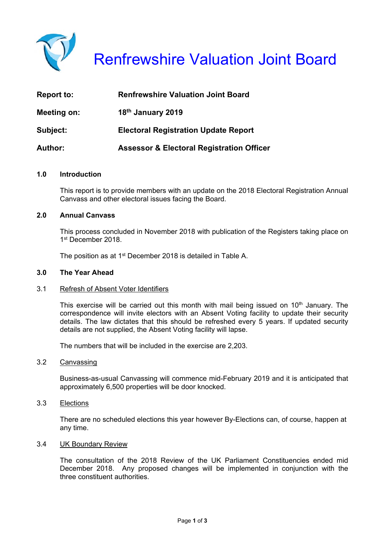

| <b>Report to:</b> | <b>Renfrewshire Valuation Joint Board</b>            |
|-------------------|------------------------------------------------------|
| Meeting on:       | 18 <sup>th</sup> January 2019                        |
| Subject:          | <b>Electoral Registration Update Report</b>          |
| <b>Author:</b>    | <b>Assessor &amp; Electoral Registration Officer</b> |

### **1.0 Introduction**

 This report is to provide members with an update on the 2018 Electoral Registration Annual Canvass and other electoral issues facing the Board.

# **2.0 Annual Canvass**

This process concluded in November 2018 with publication of the Registers taking place on 1st December 2018

The position as at 1<sup>st</sup> December 2018 is detailed in Table A.

#### **3.0 The Year Ahead**

#### 3.1 Refresh of Absent Voter Identifiers

This exercise will be carried out this month with mail being issued on  $10<sup>th</sup>$  January. The correspondence will invite electors with an Absent Voting facility to update their security details. The law dictates that this should be refreshed every 5 years. If updated security details are not supplied, the Absent Voting facility will lapse.

The numbers that will be included in the exercise are 2,203.

#### 3.2 Canvassing

Business-as-usual Canvassing will commence mid-February 2019 and it is anticipated that approximately 6,500 properties will be door knocked.

#### 3.3 Elections

There are no scheduled elections this year however By-Elections can, of course, happen at any time.

#### 3.4 UK Boundary Review

 The consultation of the 2018 Review of the UK Parliament Constituencies ended mid December 2018. Any proposed changes will be implemented in conjunction with the three constituent authorities.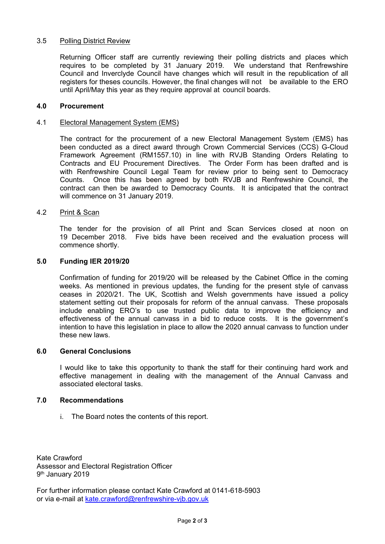# 3.5 Polling District Review

 Returning Officer staff are currently reviewing their polling districts and places which requires to be completed by 31 January 2019. We understand that Renfrewshire Council and Inverclyde Council have changes which will result in the republication of all registers for theses councils. However, the final changes will not be available to the ERO until April/May this year as they require approval at council boards.

#### **4.0 Procurement**

#### 4.1 Electoral Management System (EMS)

 The contract for the procurement of a new Electoral Management System (EMS) has been conducted as a direct award through Crown Commercial Services (CCS) G-Cloud Framework Agreement (RM1557.10) in line with RVJB Standing Orders Relating to Contracts and EU Procurement Directives. The Order Form has been drafted and is with Renfrewshire Council Legal Team for review prior to being sent to Democracy Counts. Once this has been agreed by both RVJB and Renfrewshire Council, the contract can then be awarded to Democracy Counts. It is anticipated that the contract will commence on 31 January 2019.

#### 4.2 Print & Scan

 The tender for the provision of all Print and Scan Services closed at noon on 19 December 2018. Five bids have been received and the evaluation process will commence shortly.

#### **5.0 Funding IER 2019/20**

Confirmation of funding for 2019/20 will be released by the Cabinet Office in the coming weeks. As mentioned in previous updates, the funding for the present style of canvass ceases in 2020/21. The UK, Scottish and Welsh governments have issued a policy statement setting out their proposals for reform of the annual canvass. These proposals include enabling ERO's to use trusted public data to improve the efficiency and effectiveness of the annual canvass in a bid to reduce costs. It is the government's intention to have this legislation in place to allow the 2020 annual canvass to function under these new laws.

#### **6.0 General Conclusions**

 I would like to take this opportunity to thank the staff for their continuing hard work and effective management in dealing with the management of the Annual Canvass and associated electoral tasks.

#### **7.0 Recommendations**

i. The Board notes the contents of this report.

Kate Crawford Assessor and Electoral Registration Officer 9th January 2019

For further information please contact Kate Crawford at 0141-618-5903 or via e-mail at kate.crawford@renfrewshire-vjb.gov.uk